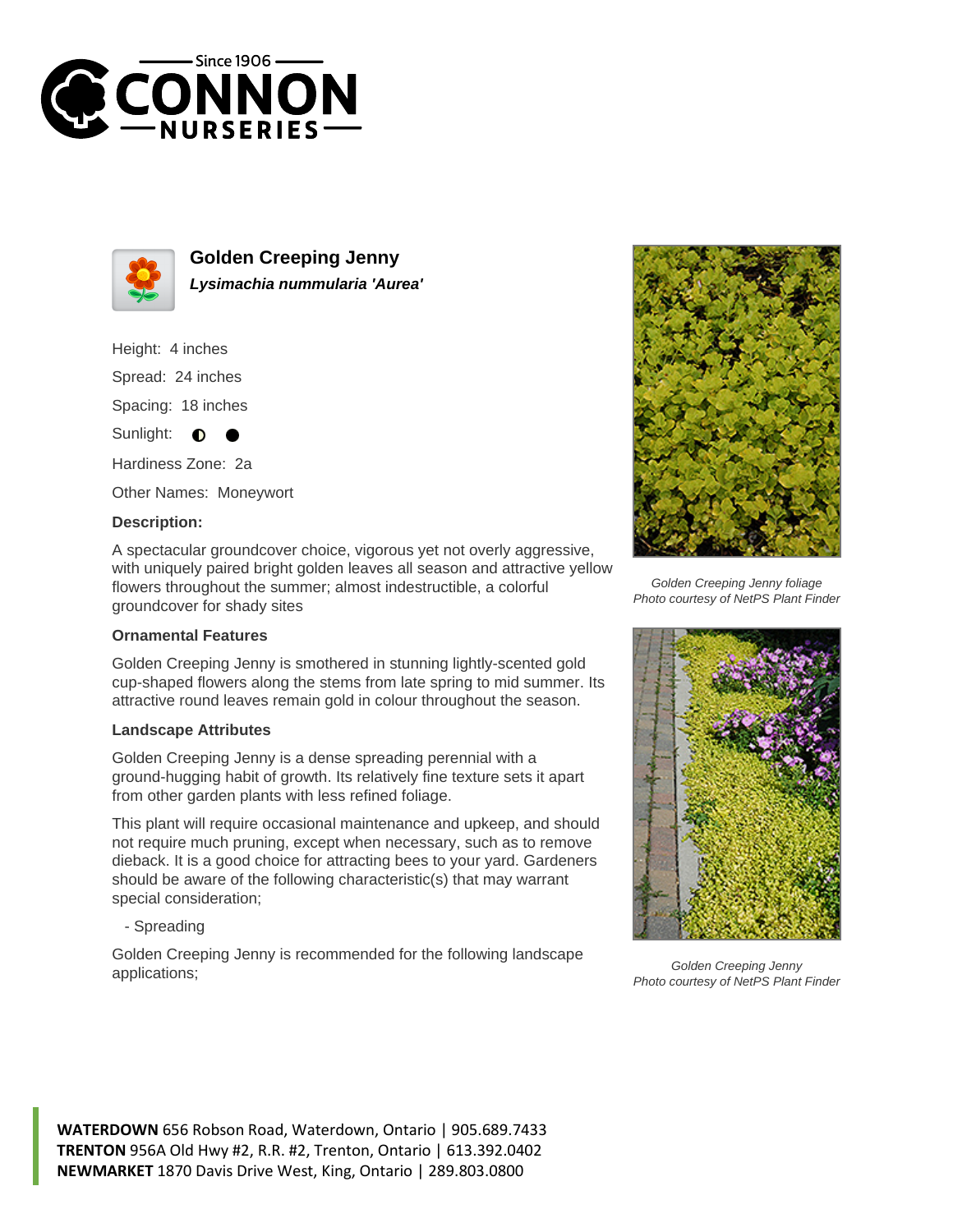



**Golden Creeping Jenny Lysimachia nummularia 'Aurea'**

Height: 4 inches Spread: 24 inches

Spacing: 18 inches

Sunlight: **O** 

Hardiness Zone: 2a

Other Names: Moneywort

## **Description:**

A spectacular groundcover choice, vigorous yet not overly aggressive, with uniquely paired bright golden leaves all season and attractive yellow flowers throughout the summer; almost indestructible, a colorful groundcover for shady sites

## **Ornamental Features**

Golden Creeping Jenny is smothered in stunning lightly-scented gold cup-shaped flowers along the stems from late spring to mid summer. Its attractive round leaves remain gold in colour throughout the season.

## **Landscape Attributes**

Golden Creeping Jenny is a dense spreading perennial with a ground-hugging habit of growth. Its relatively fine texture sets it apart from other garden plants with less refined foliage.

This plant will require occasional maintenance and upkeep, and should not require much pruning, except when necessary, such as to remove dieback. It is a good choice for attracting bees to your yard. Gardeners should be aware of the following characteristic(s) that may warrant special consideration;

- Spreading

Golden Creeping Jenny is recommended for the following landscape applications;



Golden Creeping Jenny foliage Photo courtesy of NetPS Plant Finder



Golden Creeping Jenny Photo courtesy of NetPS Plant Finder

**WATERDOWN** 656 Robson Road, Waterdown, Ontario | 905.689.7433 **TRENTON** 956A Old Hwy #2, R.R. #2, Trenton, Ontario | 613.392.0402 **NEWMARKET** 1870 Davis Drive West, King, Ontario | 289.803.0800